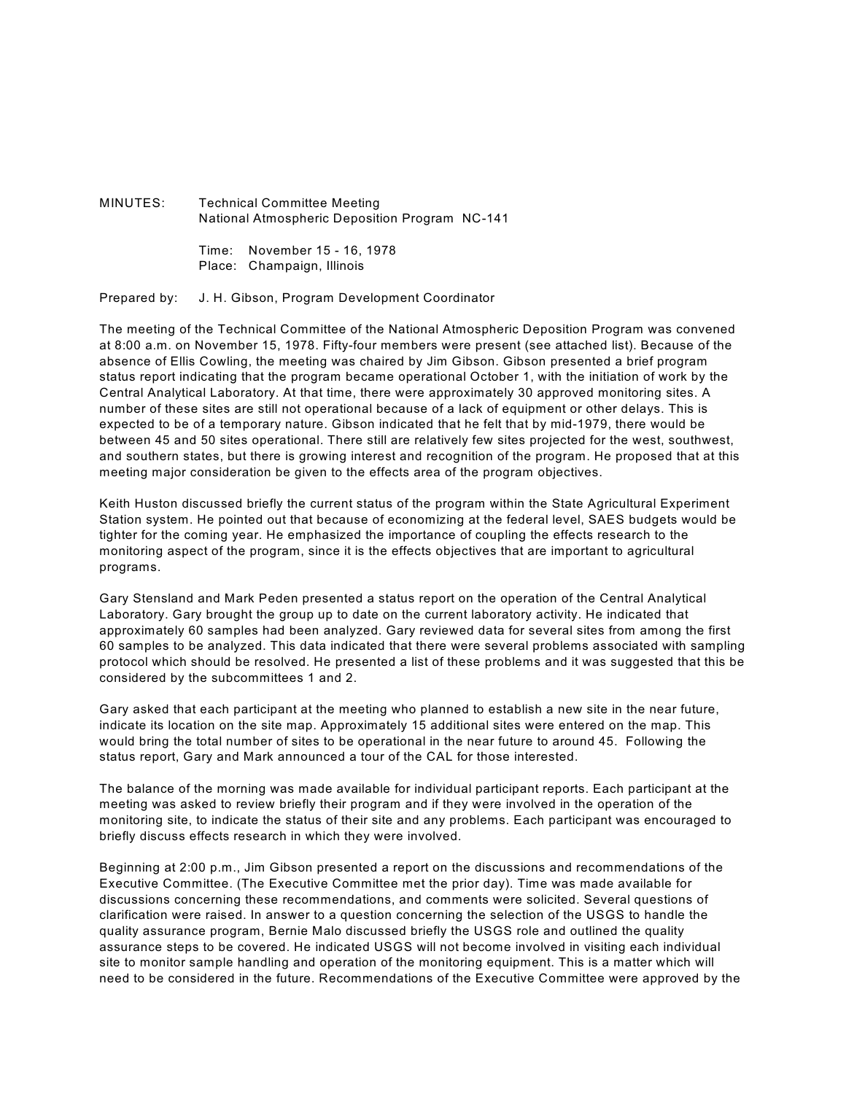MINUTES: Technical Committee Meeting National Atmospheric Deposition Program NC-141

> Time: November 15 - 16, 1978 Place: Champaign, Illinois

Prepared by: J. H. Gibson, Program Development Coordinator

The meeting of the Technical Committee of the National Atmospheric Deposition Program was convened at 8:00 a.m. on November 15, 1978. Fifty-four members were present (see attached list). Because of the absence of Ellis Cowling, the meeting was chaired by Jim Gibson. Gibson presented a brief program status report indicating that the program became operational October 1, with the initiation of work by the Central Analytical Laboratory. At that time, there were approximately 30 approved monitoring sites. A number of these sites are still not operational because of a lack of equipment or other delays. This is expected to be of a temporary nature. Gibson indicated that he felt that by mid-1979, there would be between 45 and 50 sites operational. There still are relatively few sites projected for the west, southwest, and southern states, but there is growing interest and recognition of the program. He proposed that at this meeting major consideration be given to the effects area of the program objectives.

Keith Huston discussed briefly the current status of the program within the State Agricultural Experiment Station system. He pointed out that because of economizing at the federal level, SAES budgets would be tighter for the coming year. He emphasized the importance of coupling the effects research to the monitoring aspect of the program, since it is the effects objectives that are important to agricultural programs.

Gary Stensland and Mark Peden presented a status report on the operation of the Central Analytical Laboratory. Gary brought the group up to date on the current laboratory activity. He indicated that approximately 60 samples had been analyzed. Gary reviewed data for several sites from among the first 60 samples to be analyzed. This data indicated that there were several problems associated with sampling protocol which should be resolved. He presented a list of these problems and it was suggested that this be considered by the subcommittees 1 and 2.

Gary asked that each participant at the meeting who planned to establish a new site in the near future, indicate its location on the site map. Approximately 15 additional sites were entered on the map. This would bring the total number of sites to be operational in the near future to around 45. Following the status report, Gary and Mark announced a tour of the CAL for those interested.

The balance of the morning was made available for individual participant reports. Each participant at the meeting was asked to review briefly their program and if they were involved in the operation of the monitoring site, to indicate the status of their site and any problems. Each participant was encouraged to briefly discuss effects research in which they were involved.

Beginning at 2:00 p.m., Jim Gibson presented a report on the discussions and recommendations of the Executive Committee. (The Executive Committee met the prior day). Time was made available for discussions concerning these recommendations, and comments were solicited. Several questions of clarification were raised. In answer to a question concerning the selection of the USGS to handle the quality assurance program, Bernie Malo discussed briefly the USGS role and outlined the quality assurance steps to be covered. He indicated USGS will not become involved in visiting each individual site to monitor sample handling and operation of the monitoring equipment. This is a matter which will need to be considered in the future. Recommendations of the Executive Committee were approved by the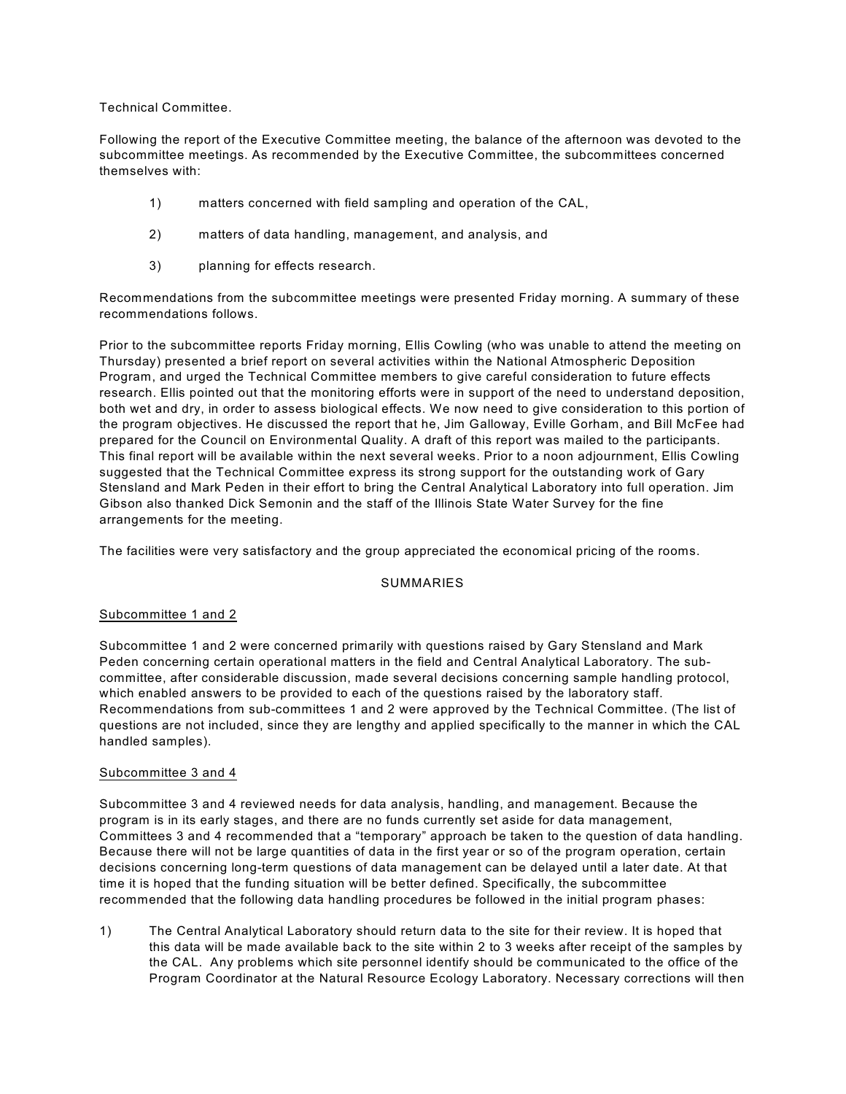Technical Committee.

Following the report of the Executive Committee meeting, the balance of the afternoon was devoted to the subcommittee meetings. As recommended by the Executive Committee, the subcommittees concerned themselves with:

- 1) matters concerned with field sampling and operation of the CAL,
- 2) matters of data handling, management, and analysis, and
- 3) planning for effects research.

Recommendations from the subcommittee meetings were presented Friday morning. A summary of these recommendations follows.

Prior to the subcommittee reports Friday morning, Ellis Cowling (who was unable to attend the meeting on Thursday) presented a brief report on several activities within the National Atmospheric Deposition Program, and urged the Technical Committee members to give careful consideration to future effects research. Ellis pointed out that the monitoring efforts were in support of the need to understand deposition, both wet and dry, in order to assess biological effects. We now need to give consideration to this portion of the program objectives. He discussed the report that he, Jim Galloway, Eville Gorham, and Bill McFee had prepared for the Council on Environmental Quality. A draft of this report was mailed to the participants. This final report will be available within the next several weeks. Prior to a noon adjournment, Ellis Cowling suggested that the Technical Committee express its strong support for the outstanding work of Gary Stensland and Mark Peden in their effort to bring the Central Analytical Laboratory into full operation. Jim Gibson also thanked Dick Semonin and the staff of the Illinois State Water Survey for the fine arrangements for the meeting.

The facilities were very satisfactory and the group appreciated the economical pricing of the rooms.

## SUMMARIES

## Subcommittee 1 and 2

Subcommittee 1 and 2 were concerned primarily with questions raised by Gary Stensland and Mark Peden concerning certain operational matters in the field and Central Analytical Laboratory. The subcommittee, after considerable discussion, made several decisions concerning sample handling protocol, which enabled answers to be provided to each of the questions raised by the laboratory staff. Recommendations from sub-committees 1 and 2 were approved by the Technical Committee. (The list of questions are not included, since they are lengthy and applied specifically to the manner in which the CAL handled samples).

## Subcommittee 3 and 4

Subcommittee 3 and 4 reviewed needs for data analysis, handling, and management. Because the program is in its early stages, and there are no funds currently set aside for data management, Committees 3 and 4 recommended that a "temporary" approach be taken to the question of data handling. Because there will not be large quantities of data in the first year or so of the program operation, certain decisions concerning long-term questions of data management can be delayed until a later date. At that time it is hoped that the funding situation will be better defined. Specifically, the subcommittee recommended that the following data handling procedures be followed in the initial program phases:

1) The Central Analytical Laboratory should return data to the site for their review. It is hoped that this data will be made available back to the site within 2 to 3 weeks after receipt of the samples by the CAL. Any problems which site personnel identify should be communicated to the office of the Program Coordinator at the Natural Resource Ecology Laboratory. Necessary corrections will then